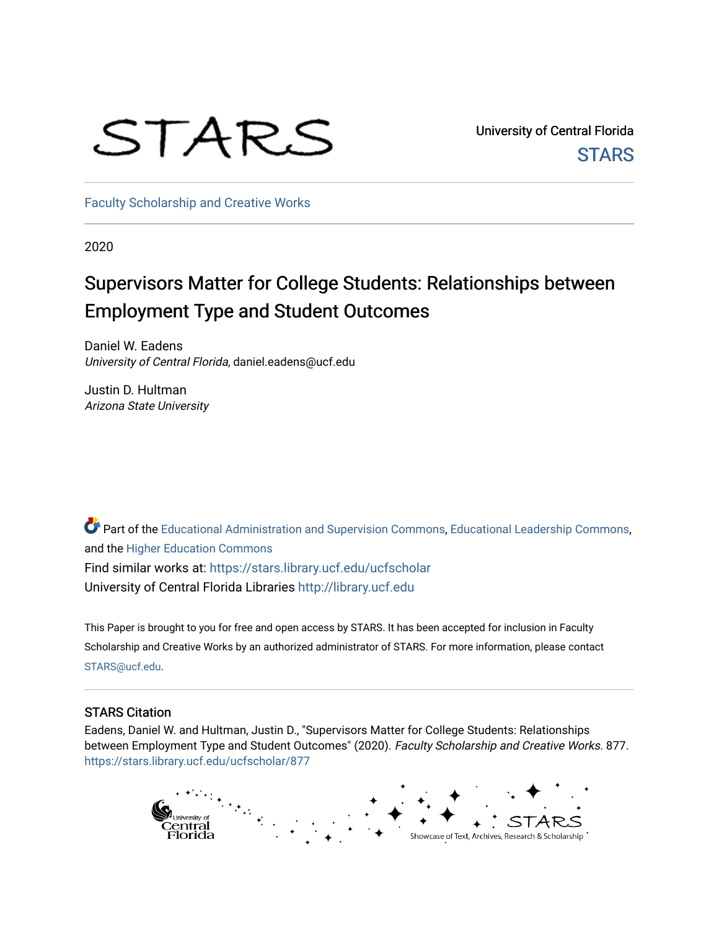# STARS

University of Central Florida **STARS** 

[Faculty Scholarship and Creative Works](https://stars.library.ucf.edu/ucfscholar) 

2020

## Supervisors Matter for College Students: Relationships between Employment Type and Student Outcomes

Daniel W. Eadens University of Central Florida, daniel.eadens@ucf.edu

Justin D. Hultman Arizona State University

Part of the [Educational Administration and Supervision Commons](http://network.bepress.com/hgg/discipline/787?utm_source=stars.library.ucf.edu%2Fucfscholar%2F877&utm_medium=PDF&utm_campaign=PDFCoverPages), [Educational Leadership Commons](http://network.bepress.com/hgg/discipline/1230?utm_source=stars.library.ucf.edu%2Fucfscholar%2F877&utm_medium=PDF&utm_campaign=PDFCoverPages), and the [Higher Education Commons](http://network.bepress.com/hgg/discipline/1245?utm_source=stars.library.ucf.edu%2Fucfscholar%2F877&utm_medium=PDF&utm_campaign=PDFCoverPages) Find similar works at: <https://stars.library.ucf.edu/ucfscholar> University of Central Florida Libraries [http://library.ucf.edu](http://library.ucf.edu/) 

This Paper is brought to you for free and open access by STARS. It has been accepted for inclusion in Faculty Scholarship and Creative Works by an authorized administrator of STARS. For more information, please contact [STARS@ucf.edu](mailto:STARS@ucf.edu).

#### STARS Citation

Eadens, Daniel W. and Hultman, Justin D., "Supervisors Matter for College Students: Relationships between Employment Type and Student Outcomes" (2020). Faculty Scholarship and Creative Works. 877. [https://stars.library.ucf.edu/ucfscholar/877](https://stars.library.ucf.edu/ucfscholar/877?utm_source=stars.library.ucf.edu%2Fucfscholar%2F877&utm_medium=PDF&utm_campaign=PDFCoverPages)

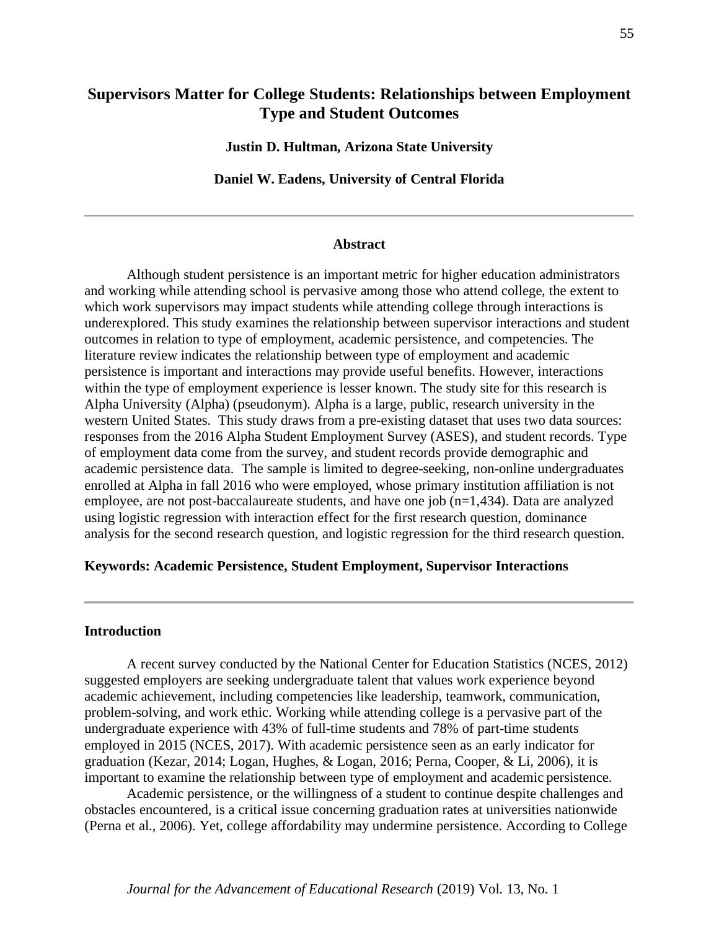### **Supervisors Matter for College Students: Relationships between Employment Type and Student Outcomes**

**Justin D. Hultman, Arizona State University**

**Daniel W. Eadens, University of Central Florida**

#### **Abstract**

Although student persistence is an important metric for higher education administrators and working while attending school is pervasive among those who attend college, the extent to which work supervisors may impact students while attending college through interactions is underexplored. This study examines the relationship between supervisor interactions and student outcomes in relation to type of employment, academic persistence, and competencies. The literature review indicates the relationship between type of employment and academic persistence is important and interactions may provide useful benefits. However, interactions within the type of employment experience is lesser known. The study site for this research is Alpha University (Alpha) (pseudonym). Alpha is a large, public, research university in the western United States. This study draws from a pre-existing dataset that uses two data sources: responses from the 2016 Alpha Student Employment Survey (ASES), and student records. Type of employment data come from the survey, and student records provide demographic and academic persistence data. The sample is limited to degree-seeking, non-online undergraduates enrolled at Alpha in fall 2016 who were employed, whose primary institution affiliation is not employee, are not post-baccalaureate students, and have one job (n=1,434). Data are analyzed using logistic regression with interaction effect for the first research question, dominance analysis for the second research question, and logistic regression for the third research question.

#### **Keywords: Academic Persistence, Student Employment, Supervisor Interactions**

#### **Introduction**

A recent survey conducted by the National Center for Education Statistics (NCES, 2012) suggested employers are seeking undergraduate talent that values work experience beyond academic achievement, including competencies like leadership, teamwork, communication, problem-solving, and work ethic. Working while attending college is a pervasive part of the undergraduate experience with 43% of full-time students and 78% of part-time students employed in 2015 (NCES, 2017). With academic persistence seen as an early indicator for graduation (Kezar, 2014; Logan, Hughes, & Logan, 2016; Perna, Cooper, & Li, 2006), it is important to examine the relationship between type of employment and academic persistence.

Academic persistence, or the willingness of a student to continue despite challenges and obstacles encountered, is a critical issue concerning graduation rates at universities nationwide (Perna et al., 2006). Yet, college affordability may undermine persistence. According to College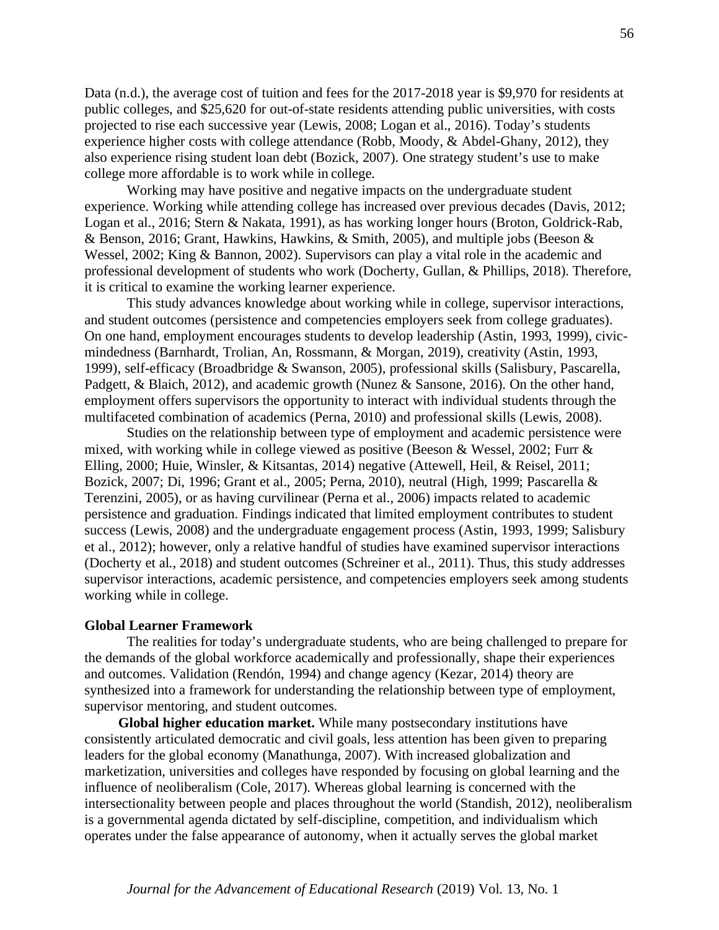Data (n.d.), the average cost of tuition and fees for the 2017-2018 year is \$9,970 for residents at public colleges, and \$25,620 for out-of-state residents attending public universities, with costs projected to rise each successive year (Lewis, 2008; Logan et al., 2016). Today's students experience higher costs with college attendance (Robb, Moody, & Abdel-Ghany, 2012), they also experience rising student loan debt (Bozick, 2007). One strategy student's use to make college more affordable is to work while in college.

Working may have positive and negative impacts on the undergraduate student experience. Working while attending college has increased over previous decades (Davis, 2012; Logan et al., 2016; Stern & Nakata, 1991), as has working longer hours (Broton, Goldrick-Rab, & Benson, 2016; Grant, Hawkins, Hawkins, & Smith, 2005), and multiple jobs (Beeson & Wessel, 2002; King & Bannon, 2002). Supervisors can play a vital role in the academic and professional development of students who work (Docherty, Gullan, & Phillips, 2018). Therefore, it is critical to examine the working learner experience.

This study advances knowledge about working while in college, supervisor interactions, and student outcomes (persistence and competencies employers seek from college graduates). On one hand, employment encourages students to develop leadership (Astin, 1993, 1999), civicmindedness (Barnhardt, Trolian, An, Rossmann, & Morgan, 2019), creativity (Astin, 1993, 1999), self-efficacy (Broadbridge & Swanson, 2005), professional skills (Salisbury, Pascarella, Padgett, & Blaich, 2012), and academic growth (Nunez & Sansone, 2016). On the other hand, employment offers supervisors the opportunity to interact with individual students through the multifaceted combination of academics (Perna, 2010) and professional skills (Lewis, 2008).

Studies on the relationship between type of employment and academic persistence were mixed, with working while in college viewed as positive (Beeson & Wessel, 2002; Furr & Elling, 2000; Huie, Winsler, & Kitsantas, 2014) negative (Attewell, Heil, & Reisel, 2011; Bozick, 2007; Di, 1996; Grant et al., 2005; Perna, 2010), neutral (High, 1999; Pascarella & Terenzini, 2005), or as having curvilinear (Perna et al., 2006) impacts related to academic persistence and graduation. Findings indicated that limited employment contributes to student success (Lewis, 2008) and the undergraduate engagement process (Astin, 1993, 1999; Salisbury et al., 2012); however, only a relative handful of studies have examined supervisor interactions (Docherty et al., 2018) and student outcomes (Schreiner et al., 2011). Thus, this study addresses supervisor interactions, academic persistence, and competencies employers seek among students working while in college.

#### **Global Learner Framework**

The realities for today's undergraduate students, who are being challenged to prepare for the demands of the global workforce academically and professionally, shape their experiences and outcomes. Validation (Rendón, 1994) and change agency (Kezar, 2014) theory are synthesized into a framework for understanding the relationship between type of employment, supervisor mentoring, and student outcomes.

**Global higher education market.** While many postsecondary institutions have consistently articulated democratic and civil goals, less attention has been given to preparing leaders for the global economy (Manathunga, 2007). With increased globalization and marketization, universities and colleges have responded by focusing on global learning and the influence of neoliberalism (Cole, 2017). Whereas global learning is concerned with the intersectionality between people and places throughout the world (Standish, 2012), neoliberalism is a governmental agenda dictated by self-discipline, competition, and individualism which operates under the false appearance of autonomy, when it actually serves the global market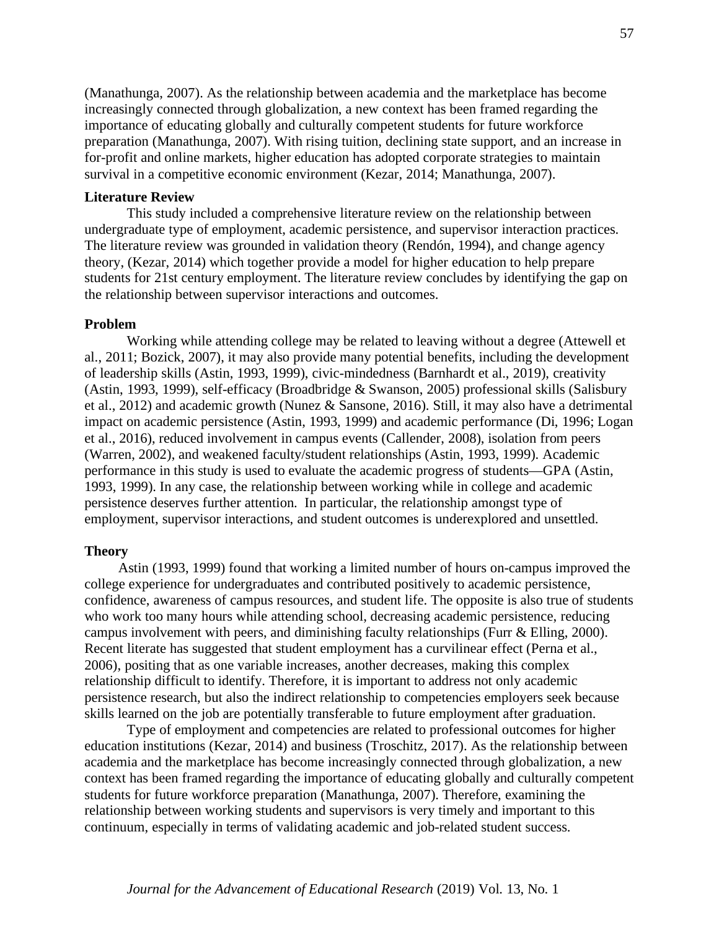(Manathunga, 2007). As the relationship between academia and the marketplace has become increasingly connected through globalization, a new context has been framed regarding the importance of educating globally and culturally competent students for future workforce preparation (Manathunga, 2007). With rising tuition, declining state support, and an increase in for-profit and online markets, higher education has adopted corporate strategies to maintain survival in a competitive economic environment (Kezar, 2014; Manathunga, 2007).

#### **Literature Review**

This study included a comprehensive literature review on the relationship between undergraduate type of employment, academic persistence, and supervisor interaction practices. The literature review was grounded in validation theory (Rendón, 1994), and change agency theory, (Kezar, 2014) which together provide a model for higher education to help prepare students for 21st century employment. The literature review concludes by identifying the gap on the relationship between supervisor interactions and outcomes.

#### **Problem**

Working while attending college may be related to leaving without a degree (Attewell et al., 2011; Bozick, 2007), it may also provide many potential benefits, including the development of leadership skills (Astin, 1993, 1999), civic-mindedness (Barnhardt et al., 2019), creativity (Astin, 1993, 1999), self-efficacy (Broadbridge & Swanson, 2005) professional skills (Salisbury et al., 2012) and academic growth (Nunez & Sansone, 2016). Still, it may also have a detrimental impact on academic persistence (Astin, 1993, 1999) and academic performance (Di, 1996; Logan et al., 2016), reduced involvement in campus events (Callender, 2008), isolation from peers (Warren, 2002), and weakened faculty/student relationships (Astin, 1993, 1999). Academic performance in this study is used to evaluate the academic progress of students—GPA (Astin, 1993, 1999). In any case, the relationship between working while in college and academic persistence deserves further attention. In particular, the relationship amongst type of employment, supervisor interactions, and student outcomes is underexplored and unsettled.

#### **Theory**

Astin (1993, 1999) found that working a limited number of hours on-campus improved the college experience for undergraduates and contributed positively to academic persistence, confidence, awareness of campus resources, and student life. The opposite is also true of students who work too many hours while attending school, decreasing academic persistence, reducing campus involvement with peers, and diminishing faculty relationships (Furr & Elling, 2000). Recent literate has suggested that student employment has a curvilinear effect (Perna et al., 2006), positing that as one variable increases, another decreases, making this complex relationship difficult to identify. Therefore, it is important to address not only academic persistence research, but also the indirect relationship to competencies employers seek because skills learned on the job are potentially transferable to future employment after graduation.

Type of employment and competencies are related to professional outcomes for higher education institutions (Kezar, 2014) and business (Troschitz, 2017). As the relationship between academia and the marketplace has become increasingly connected through globalization, a new context has been framed regarding the importance of educating globally and culturally competent students for future workforce preparation (Manathunga, 2007). Therefore, examining the relationship between working students and supervisors is very timely and important to this continuum, especially in terms of validating academic and job-related student success.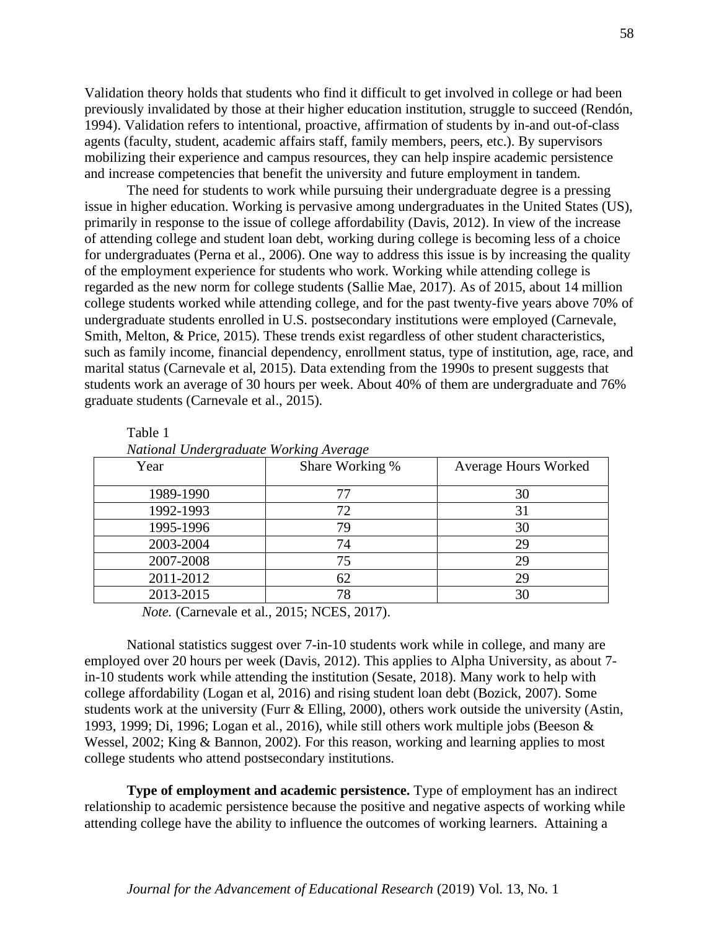Validation theory holds that students who find it difficult to get involved in college or had been previously invalidated by those at their higher education institution, struggle to succeed (Rendón, 1994). Validation refers to intentional, proactive, affirmation of students by in-and out-of-class agents (faculty, student, academic affairs staff, family members, peers, etc.). By supervisors mobilizing their experience and campus resources, they can help inspire academic persistence and increase competencies that benefit the university and future employment in tandem.

The need for students to work while pursuing their undergraduate degree is a pressing issue in higher education. Working is pervasive among undergraduates in the United States (US), primarily in response to the issue of college affordability (Davis, 2012). In view of the increase of attending college and student loan debt, working during college is becoming less of a choice for undergraduates (Perna et al., 2006). One way to address this issue is by increasing the quality of the employment experience for students who work. Working while attending college is regarded as the new norm for college students (Sallie Mae, 2017). As of 2015, about 14 million college students worked while attending college, and for the past twenty-five years above 70% of undergraduate students enrolled in U.S. postsecondary institutions were employed (Carnevale, Smith, Melton, & Price, 2015). These trends exist regardless of other student characteristics, such as family income, financial dependency, enrollment status, type of institution, age, race, and marital status (Carnevale et al, 2015). Data extending from the 1990s to present suggests that students work an average of 30 hours per week. About 40% of them are undergraduate and 76% graduate students (Carnevale et al., 2015).

| Ivational Undergraduate Working Average |                 |                             |  |  |
|-----------------------------------------|-----------------|-----------------------------|--|--|
| Year                                    | Share Working % | <b>Average Hours Worked</b> |  |  |
|                                         |                 |                             |  |  |
| 1989-1990                               | 77              | 30                          |  |  |
| 1992-1993                               | 72              | 31                          |  |  |
| 1995-1996                               | 79              | 30                          |  |  |
| 2003-2004                               | 74              | 29                          |  |  |
| 2007-2008                               | 75              | 29                          |  |  |
| 2011-2012                               | 62              | 29                          |  |  |
| 2013-2015                               | 78              | 30                          |  |  |
|                                         |                 |                             |  |  |

| Table 1 |                                        |  |
|---------|----------------------------------------|--|
|         | National Undergraduate Working Average |  |

*Note.* (Carnevale et al., 2015; NCES, 2017).

National statistics suggest over 7-in-10 students work while in college, and many are employed over 20 hours per week (Davis, 2012). This applies to Alpha University, as about 7 in-10 students work while attending the institution (Sesate, 2018). Many work to help with college affordability (Logan et al, 2016) and rising student loan debt (Bozick, 2007). Some students work at the university (Furr & Elling, 2000), others work outside the university (Astin, 1993, 1999; Di, 1996; Logan et al., 2016), while still others work multiple jobs (Beeson & Wessel, 2002; King & Bannon, 2002). For this reason, working and learning applies to most college students who attend postsecondary institutions.

**Type of employment and academic persistence.** Type of employment has an indirect relationship to academic persistence because the positive and negative aspects of working while attending college have the ability to influence the outcomes of working learners. Attaining a

58

#### *Journal for the Advancement of Educational Research* (2019) Vol. 13, No. 1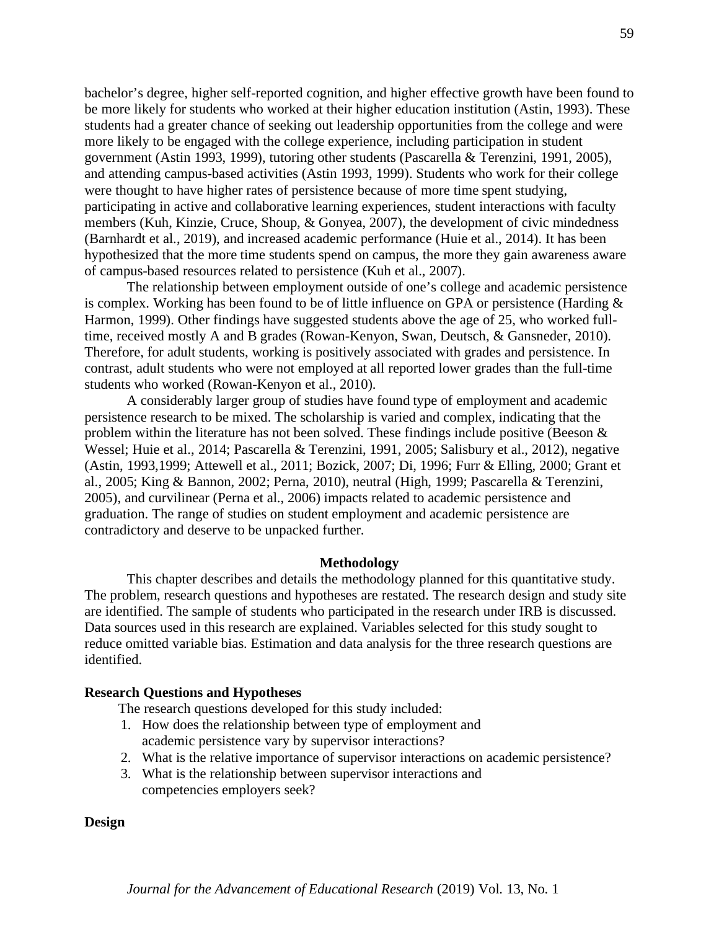bachelor's degree, higher self-reported cognition, and higher effective growth have been found to be more likely for students who worked at their higher education institution (Astin, 1993). These students had a greater chance of seeking out leadership opportunities from the college and were more likely to be engaged with the college experience, including participation in student government (Astin 1993, 1999), tutoring other students (Pascarella & Terenzini, 1991, 2005), and attending campus-based activities (Astin 1993, 1999). Students who work for their college were thought to have higher rates of persistence because of more time spent studying, participating in active and collaborative learning experiences, student interactions with faculty members (Kuh, Kinzie, Cruce, Shoup, & Gonyea, 2007), the development of civic mindedness (Barnhardt et al., 2019), and increased academic performance (Huie et al., 2014). It has been hypothesized that the more time students spend on campus, the more they gain awareness aware of campus-based resources related to persistence (Kuh et al., 2007).

The relationship between employment outside of one's college and academic persistence is complex. Working has been found to be of little influence on GPA or persistence (Harding & Harmon, 1999). Other findings have suggested students above the age of 25, who worked fulltime, received mostly A and B grades (Rowan-Kenyon, Swan, Deutsch, & Gansneder, 2010). Therefore, for adult students, working is positively associated with grades and persistence. In contrast, adult students who were not employed at all reported lower grades than the full-time students who worked (Rowan-Kenyon et al., 2010).

A considerably larger group of studies have found type of employment and academic persistence research to be mixed. The scholarship is varied and complex, indicating that the problem within the literature has not been solved. These findings include positive (Beeson  $\&$ Wessel; Huie et al., 2014; Pascarella & Terenzini, 1991, 2005; Salisbury et al., 2012), negative (Astin, 1993,1999; Attewell et al., 2011; Bozick, 2007; Di, 1996; Furr & Elling, 2000; Grant et al., 2005; King & Bannon, 2002; Perna, 2010), neutral (High, 1999; Pascarella & Terenzini, 2005), and curvilinear (Perna et al., 2006) impacts related to academic persistence and graduation. The range of studies on student employment and academic persistence are contradictory and deserve to be unpacked further.

#### **Methodology**

This chapter describes and details the methodology planned for this quantitative study. The problem, research questions and hypotheses are restated. The research design and study site are identified. The sample of students who participated in the research under IRB is discussed. Data sources used in this research are explained. Variables selected for this study sought to reduce omitted variable bias. Estimation and data analysis for the three research questions are identified.

#### **Research Questions and Hypotheses**

The research questions developed for this study included:

- 1. How does the relationship between type of employment and academic persistence vary by supervisor interactions?
- 2. What is the relative importance of supervisor interactions on academic persistence?
- 3. What is the relationship between supervisor interactions and competencies employers seek?

#### **Design**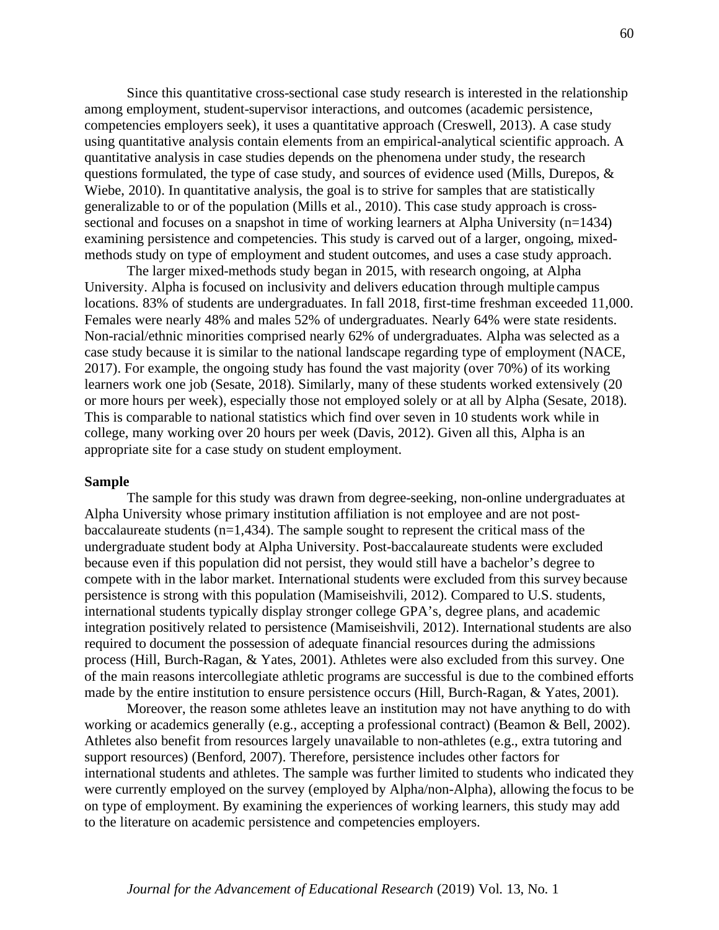Since this quantitative cross-sectional case study research is interested in the relationship among employment, student-supervisor interactions, and outcomes (academic persistence, competencies employers seek), it uses a quantitative approach (Creswell, 2013). A case study using quantitative analysis contain elements from an empirical-analytical scientific approach. A quantitative analysis in case studies depends on the phenomena under study, the research questions formulated, the type of case study, and sources of evidence used (Mills, Durepos, & Wiebe, 2010). In quantitative analysis, the goal is to strive for samples that are statistically generalizable to or of the population (Mills et al., 2010). This case study approach is crosssectional and focuses on a snapshot in time of working learners at Alpha University (n=1434) examining persistence and competencies. This study is carved out of a larger, ongoing, mixedmethods study on type of employment and student outcomes, and uses a case study approach.

The larger mixed-methods study began in 2015, with research ongoing, at Alpha University. Alpha is focused on inclusivity and delivers education through multiple campus locations. 83% of students are undergraduates. In fall 2018, first-time freshman exceeded 11,000. Females were nearly 48% and males 52% of undergraduates. Nearly 64% were state residents. Non-racial/ethnic minorities comprised nearly 62% of undergraduates. Alpha was selected as a case study because it is similar to the national landscape regarding type of employment (NACE, 2017). For example, the ongoing study has found the vast majority (over 70%) of its working learners work one job (Sesate, 2018). Similarly, many of these students worked extensively (20 or more hours per week), especially those not employed solely or at all by Alpha (Sesate, 2018). This is comparable to national statistics which find over seven in 10 students work while in college, many working over 20 hours per week (Davis, 2012). Given all this, Alpha is an appropriate site for a case study on student employment.

#### **Sample**

The sample for this study was drawn from degree-seeking, non-online undergraduates at Alpha University whose primary institution affiliation is not employee and are not postbaccalaureate students  $(n=1,434)$ . The sample sought to represent the critical mass of the undergraduate student body at Alpha University. Post-baccalaureate students were excluded because even if this population did not persist, they would still have a bachelor's degree to compete with in the labor market. International students were excluded from this survey because persistence is strong with this population (Mamiseishvili, 2012). Compared to U.S. students, international students typically display stronger college GPA's, degree plans, and academic integration positively related to persistence (Mamiseishvili, 2012). International students are also required to document the possession of adequate financial resources during the admissions process (Hill, Burch-Ragan, & Yates, 2001). Athletes were also excluded from this survey. One of the main reasons intercollegiate athletic programs are successful is due to the combined efforts made by the entire institution to ensure persistence occurs (Hill, Burch-Ragan, & Yates, 2001).

Moreover, the reason some athletes leave an institution may not have anything to do with working or academics generally (e.g., accepting a professional contract) (Beamon & Bell, 2002). Athletes also benefit from resources largely unavailable to non-athletes (e.g., extra tutoring and support resources) (Benford, 2007). Therefore, persistence includes other factors for international students and athletes. The sample was further limited to students who indicated they were currently employed on the survey (employed by Alpha/non-Alpha), allowing the focus to be on type of employment. By examining the experiences of working learners, this study may add to the literature on academic persistence and competencies employers.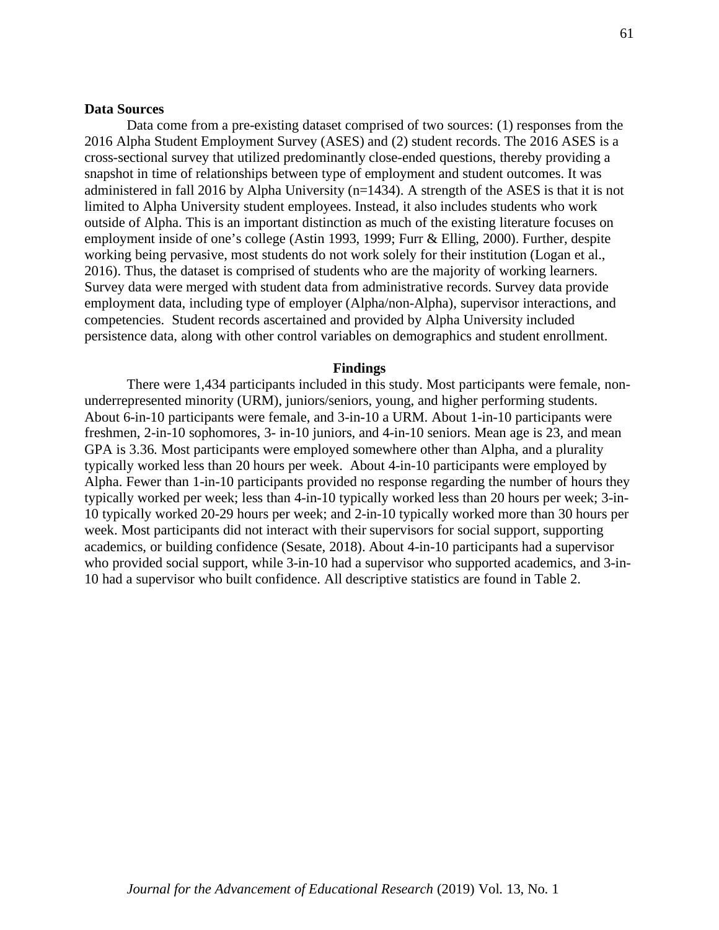Data come from a pre-existing dataset comprised of two sources: (1) responses from the 2016 Alpha Student Employment Survey (ASES) and (2) student records. The 2016 ASES is a cross-sectional survey that utilized predominantly close-ended questions, thereby providing a snapshot in time of relationships between type of employment and student outcomes. It was administered in fall 2016 by Alpha University (n=1434). A strength of the ASES is that it is not limited to Alpha University student employees. Instead, it also includes students who work outside of Alpha. This is an important distinction as much of the existing literature focuses on employment inside of one's college (Astin 1993, 1999; Furr & Elling, 2000). Further, despite working being pervasive, most students do not work solely for their institution (Logan et al., 2016). Thus, the dataset is comprised of students who are the majority of working learners. Survey data were merged with student data from administrative records. Survey data provide employment data, including type of employer (Alpha/non-Alpha), supervisor interactions, and competencies. Student records ascertained and provided by Alpha University included persistence data, along with other control variables on demographics and student enrollment.

#### **Findings**

There were 1,434 participants included in this study. Most participants were female, nonunderrepresented minority (URM), juniors/seniors, young, and higher performing students. About 6-in-10 participants were female, and 3-in-10 a URM. About 1-in-10 participants were freshmen, 2-in-10 sophomores, 3- in-10 juniors, and 4-in-10 seniors. Mean age is 23, and mean GPA is 3.36. Most participants were employed somewhere other than Alpha, and a plurality typically worked less than 20 hours per week. About 4-in-10 participants were employed by Alpha. Fewer than 1-in-10 participants provided no response regarding the number of hours they typically worked per week; less than 4-in-10 typically worked less than 20 hours per week; 3-in-10 typically worked 20-29 hours per week; and 2-in-10 typically worked more than 30 hours per week. Most participants did not interact with their supervisors for social support, supporting academics, or building confidence (Sesate, 2018). About 4-in-10 participants had a supervisor who provided social support, while  $3$ -in-10 had a supervisor who supported academics, and  $3$ -in-10 had a supervisor who built confidence. All descriptive statistics are found in Table 2.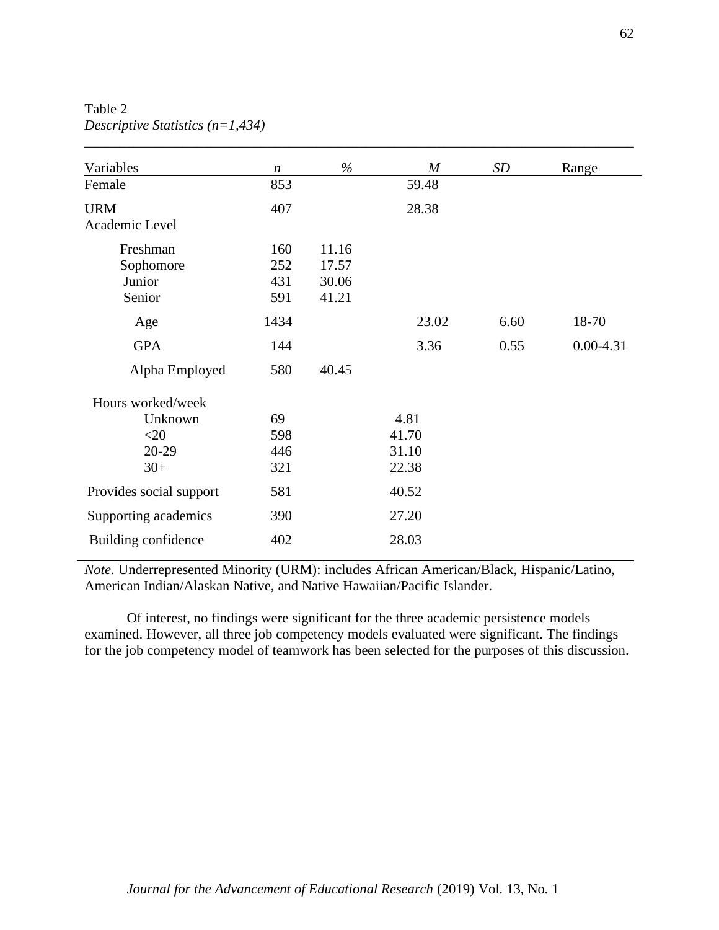Table 2 *Descriptive Statistics (n=1,434)*

| Variables               | $\boldsymbol{n}$ | $\%$  | $\boldsymbol{M}$ | <b>SD</b> | Range         |
|-------------------------|------------------|-------|------------------|-----------|---------------|
| Female                  | 853              |       | 59.48            |           |               |
| <b>URM</b>              | 407              |       | 28.38            |           |               |
| Academic Level          |                  |       |                  |           |               |
| Freshman                | 160              | 11.16 |                  |           |               |
| Sophomore               | 252              | 17.57 |                  |           |               |
| Junior                  | 431              | 30.06 |                  |           |               |
| Senior                  | 591              | 41.21 |                  |           |               |
| Age                     | 1434             |       | 23.02            | 6.60      | 18-70         |
| <b>GPA</b>              | 144              |       | 3.36             | 0.55      | $0.00 - 4.31$ |
| Alpha Employed          | 580              | 40.45 |                  |           |               |
| Hours worked/week       |                  |       |                  |           |               |
| Unknown                 | 69               |       | 4.81             |           |               |
| $<$ 20                  | 598              |       | 41.70            |           |               |
| 20-29                   | 446              |       | 31.10            |           |               |
| $30+$                   | 321              |       | 22.38            |           |               |
| Provides social support | 581              |       | 40.52            |           |               |
| Supporting academics    | 390              |       | 27.20            |           |               |
| Building confidence     | 402              |       | 28.03            |           |               |

\_\_\_\_\_\_\_\_\_\_\_\_\_\_\_\_\_\_\_\_\_\_\_\_\_\_\_\_\_\_\_\_\_\_\_\_\_\_\_\_\_\_\_\_\_\_\_\_\_\_\_\_\_\_\_\_\_\_\_\_\_\_\_\_\_\_\_\_\_\_\_\_\_\_\_\_\_\_

*Note*. Underrepresented Minority (URM): includes African American/Black, Hispanic/Latino, American Indian/Alaskan Native, and Native Hawaiian/Pacific Islander.

Of interest, no findings were significant for the three academic persistence models examined. However, all three job competency models evaluated were significant. The findings for the job competency model of teamwork has been selected for the purposes of this discussion.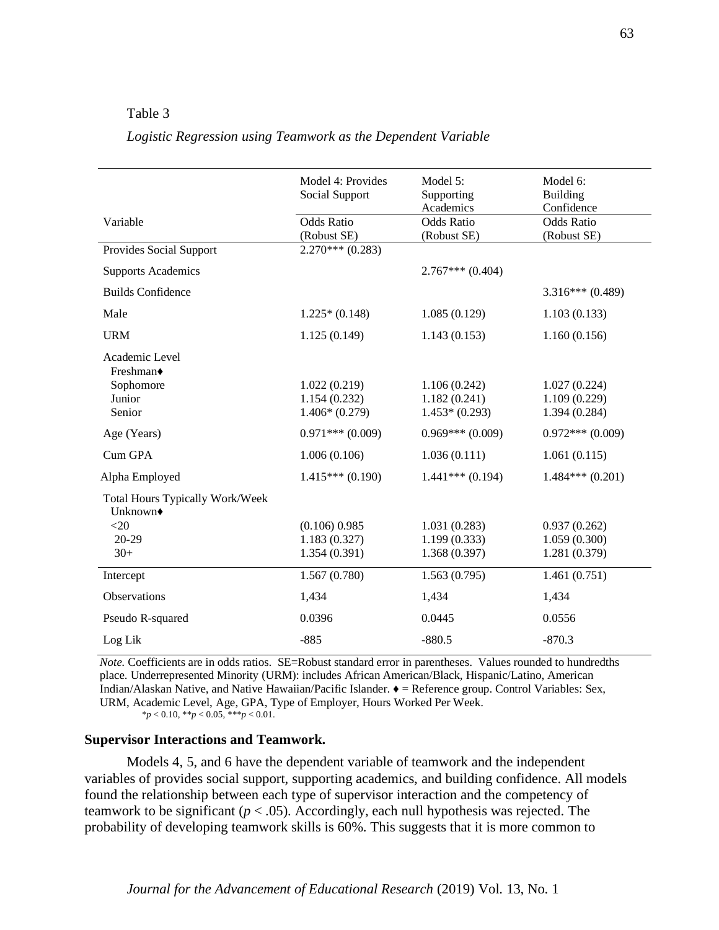#### Table 3

#### *Logistic Regression using Teamwork as the Dependent Variable*

|                                                                | Model 4: Provides  | Model 5:          | Model 6:          |
|----------------------------------------------------------------|--------------------|-------------------|-------------------|
|                                                                | Social Support     | Supporting        | Building          |
|                                                                |                    | Academics         | Confidence        |
| Variable                                                       | <b>Odds Ratio</b>  | <b>Odds Ratio</b> | <b>Odds Ratio</b> |
|                                                                | (Robust SE)        | (Robust SE)       | (Robust SE)       |
| Provides Social Support                                        | $2.270***$ (0.283) |                   |                   |
| <b>Supports Academics</b>                                      |                    | $2.767***(0.404)$ |                   |
| <b>Builds Confidence</b>                                       |                    |                   | $3.316***(0.489)$ |
| Male                                                           | $1.225*(0.148)$    | 1.085(0.129)      | 1.103(0.133)      |
| <b>URM</b>                                                     | 1.125(0.149)       | 1.143(0.153)      | 1.160(0.156)      |
| Academic Level<br>Freshman◆                                    |                    |                   |                   |
| Sophomore                                                      | 1.022(0.219)       | 1.106(0.242)      | 1.027(0.224)      |
| Junior                                                         | 1.154(0.232)       | 1.182(0.241)      | 1.109(0.229)      |
| Senior                                                         | $1.406*(0.279)$    | $1.453*(0.293)$   | 1.394 (0.284)     |
| Age (Years)                                                    | $0.971***(0.009)$  | $0.969***(0.009)$ | $0.972***(0.009)$ |
| Cum GPA                                                        | 1.006(0.106)       | 1.036(0.111)      | 1.061(0.115)      |
| Alpha Employed                                                 | $1.415***(0.190)$  | $1.441***(0.194)$ | $1.484***(0.201)$ |
| <b>Total Hours Typically Work/Week</b><br>Unknown <sup>+</sup> |                    |                   |                   |
| $<$ 20                                                         | $(0.106)$ 0.985    | 1.031(0.283)      | 0.937(0.262)      |
| $20-29$                                                        | 1.183(0.327)       | 1.199(0.333)      | 1.059(0.300)      |
| $30+$                                                          | 1.354(0.391)       | 1.368(0.397)      | 1.281 (0.379)     |
| Intercept                                                      | 1.567(0.780)       | 1.563(0.795)      | 1.461(0.751)      |
| Observations                                                   | 1,434              | 1,434             | 1,434             |
| Pseudo R-squared                                               | 0.0396             | 0.0445            | 0.0556            |
| Log Lik                                                        | $-885$             | $-880.5$          | $-870.3$          |

*Note.* Coefficients are in odds ratios. SE=Robust standard error in parentheses. Values rounded to hundredths place. Underrepresented Minority (URM): includes African American/Black, Hispanic/Latino, American Indian/Alaskan Native, and Native Hawaiian/Pacific Islander. ♦ = Reference group. Control Variables: Sex, URM, Academic Level, Age, GPA, Type of Employer, Hours Worked Per Week.

\**p* < 0.10, \*\**p* < 0.05, \*\*\**p* < 0.01.

#### **Supervisor Interactions and Teamwork.**

Models 4, 5, and 6 have the dependent variable of teamwork and the independent variables of provides social support, supporting academics, and building confidence. All models found the relationship between each type of supervisor interaction and the competency of teamwork to be significant  $(p < .05)$ . Accordingly, each null hypothesis was rejected. The probability of developing teamwork skills is 60%. This suggests that it is more common to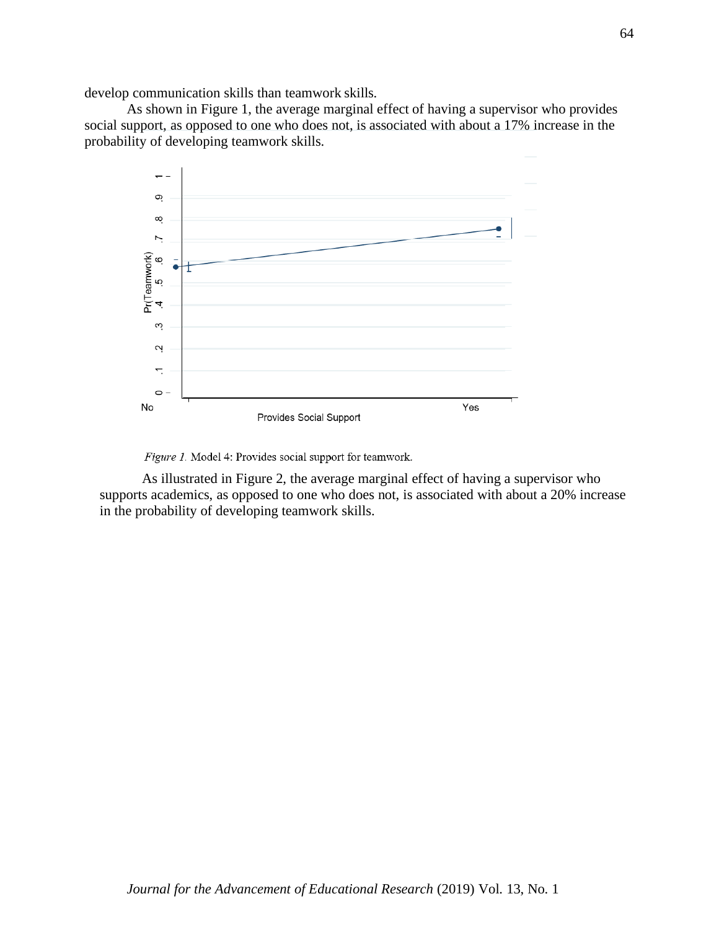develop communication skills than teamwork skills.

As shown in Figure 1, the average marginal effect of having a supervisor who provides social support, as opposed to one who does not, is associated with about a 17% increase in the probability of developing teamwork skills.



Figure 1. Model 4: Provides social support for teamwork.

As illustrated in Figure 2, the average marginal effect of having a supervisor who supports academics, as opposed to one who does not, is associated with about a 20% increase in the probability of developing teamwork skills.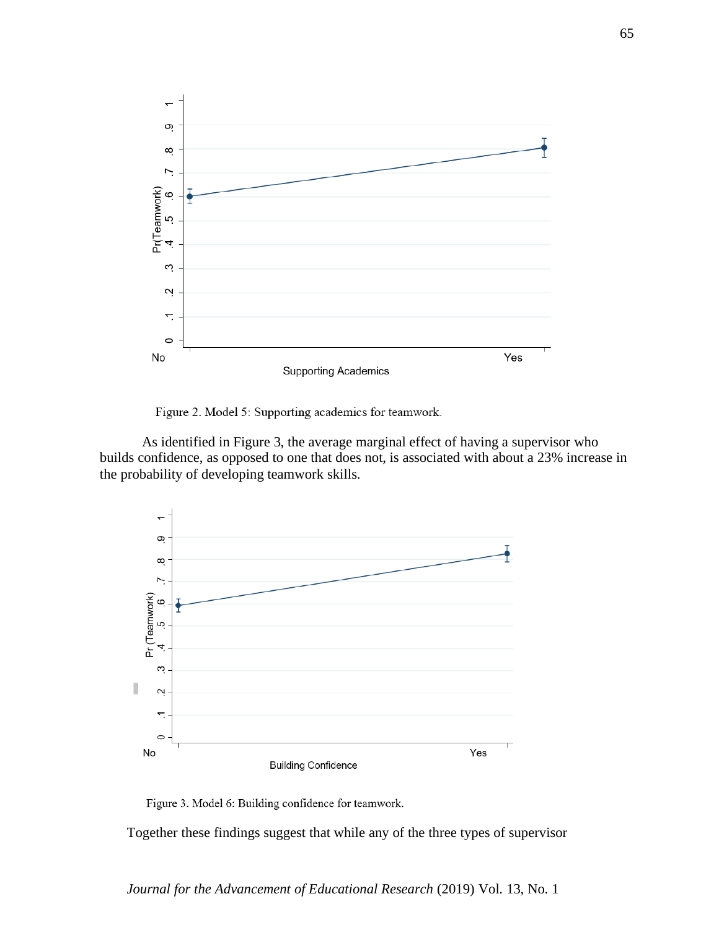

Figure 2. Model 5: Supporting academics for teamwork.

As identified in Figure 3, the average marginal effect of having a supervisor who builds confidence, as opposed to one that does not, is associated with about a 23% increase in the probability of developing teamwork skills.



Figure 3. Model 6: Building confidence for teamwork.

Together these findings suggest that while any of the three types of supervisor

*Journal for the Advancement of Educational Research* (2019) Vol. 13, No. 1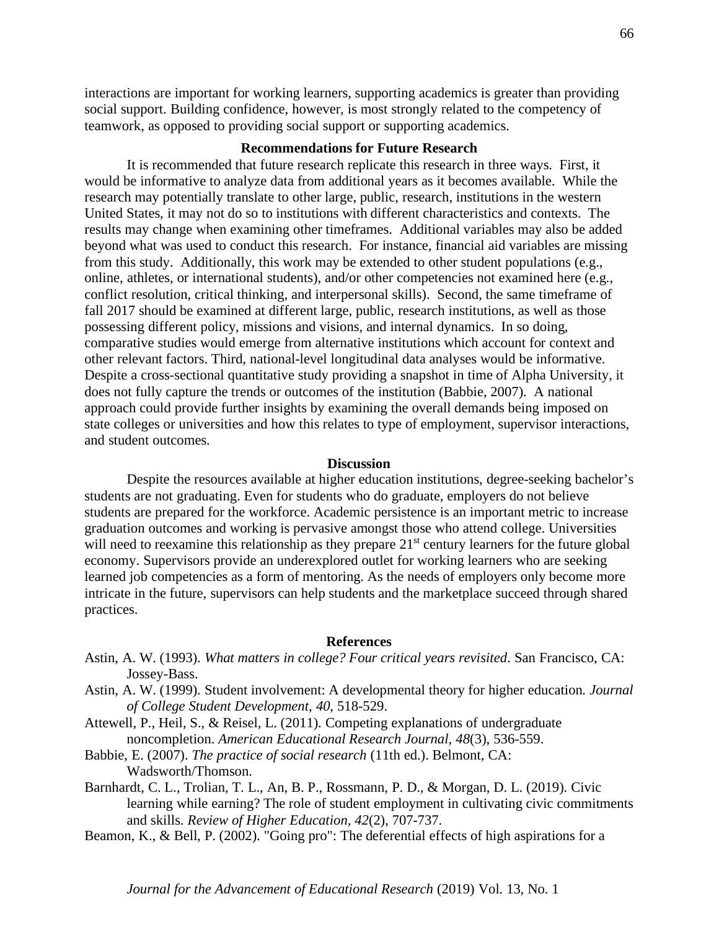interactions are important for working learners, supporting academics is greater than providing social support. Building confidence, however, is most strongly related to the competency of teamwork, as opposed to providing social support or supporting academics.

#### **Recommendations for Future Research**

It is recommended that future research replicate this research in three ways. First, it would be informative to analyze data from additional years as it becomes available. While the research may potentially translate to other large, public, research, institutions in the western United States, it may not do so to institutions with different characteristics and contexts. The results may change when examining other timeframes. Additional variables may also be added beyond what was used to conduct this research. For instance, financial aid variables are missing from this study. Additionally, this work may be extended to other student populations (e.g., online, athletes, or international students), and/or other competencies not examined here (e.g., conflict resolution, critical thinking, and interpersonal skills). Second, the same timeframe of fall 2017 should be examined at different large, public, research institutions, as well as those possessing different policy, missions and visions, and internal dynamics. In so doing, comparative studies would emerge from alternative institutions which account for context and other relevant factors. Third, national-level longitudinal data analyses would be informative. Despite a cross-sectional quantitative study providing a snapshot in time of Alpha University, it does not fully capture the trends or outcomes of the institution (Babbie, 2007). A national approach could provide further insights by examining the overall demands being imposed on state colleges or universities and how this relates to type of employment, supervisor interactions, and student outcomes.

#### **Discussion**

Despite the resources available at higher education institutions, degree-seeking bachelor's students are not graduating. Even for students who do graduate, employers do not believe students are prepared for the workforce. Academic persistence is an important metric to increase graduation outcomes and working is pervasive amongst those who attend college. Universities will need to reexamine this relationship as they prepare 21<sup>st</sup> century learners for the future global economy. Supervisors provide an underexplored outlet for working learners who are seeking learned job competencies as a form of mentoring. As the needs of employers only become more intricate in the future, supervisors can help students and the marketplace succeed through shared practices.

#### **References**

- Astin, A. W. (1993). *What matters in college? Four critical years revisited*. San Francisco, CA: Jossey-Bass.
- Astin, A. W. (1999). Student involvement: A developmental theory for higher education*. Journal of College Student Development, 40,* 518-529.
- Attewell, P., Heil, S., & Reisel, L. (2011). Competing explanations of undergraduate noncompletion. *American Educational Research Journal*, *48*(3), 536-559.
- Babbie, E. (2007). *The practice of social research* (11th ed.). Belmont, CA: Wadsworth/Thomson.
- Barnhardt, C. L., Trolian, T. L., An, B. P., Rossmann, P. D., & Morgan, D. L. (2019). Civic learning while earning? The role of student employment in cultivating civic commitments and skills. *Review of Higher Education, 42*(2), 707-737.
- Beamon, K., & Bell, P. (2002). "Going pro": The deferential effects of high aspirations for a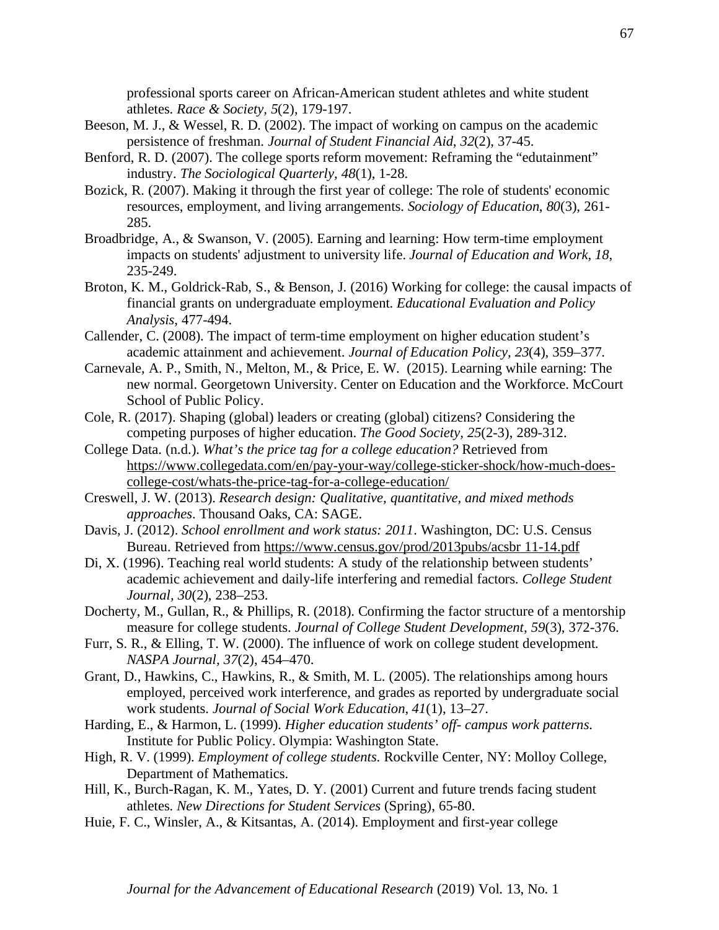professional sports career on African-American student athletes and white student athletes. *Race & Society, 5*(2), 179-197.

- Beeson, M. J., & Wessel, R. D. (2002). The impact of working on campus on the academic persistence of freshman. *Journal of Student Financial Aid*, *32*(2), 37-45.
- Benford, R. D. (2007). The college sports reform movement: Reframing the "edutainment" industry. *The Sociological Quarterly, 48*(1), 1-28.
- Bozick, R. (2007). Making it through the first year of college: The role of students' economic resources, employment, and living arrangements. *Sociology of Education*, *80*(3), 261- 285.
- Broadbridge, A., & Swanson, V. (2005). Earning and learning: How term-time employment impacts on students' adjustment to university life. *Journal of Education and Work*, *18*, 235-249.
- Broton, K. M., Goldrick-Rab, S., & Benson, J. (2016) Working for college: the causal impacts of financial grants on undergraduate employment. *Educational Evaluation and Policy Analysis*, 477-494.
- Callender, C. (2008). The impact of term-time employment on higher education student's academic attainment and achievement. *Journal of Education Policy, 23*(4), 359–377.
- Carnevale, A. P., Smith, N., Melton, M., & Price, E. W. (2015). Learning while earning: The new normal. Georgetown University. Center on Education and the Workforce. McCourt School of Public Policy.
- Cole, R. (2017). Shaping (global) leaders or creating (global) citizens? Considering the competing purposes of higher education. *The Good Society, 25*(2-3), 289-312.
- College Data. (n.d.). *What's the price tag for a college education?* Retrieved from [https://www.collegedata.com/en/pay-your-way/college-sticker-shock/how-much-does](https://www.collegedata.com/en/pay-your-way/college-sticker-shock/how-much-does-college-cost/whats-the-price-tag-for-a-college-education/)[college-cost/whats-the-price-tag-for-a-college-education/](https://www.collegedata.com/en/pay-your-way/college-sticker-shock/how-much-does-college-cost/whats-the-price-tag-for-a-college-education/)
- Creswell, J. W. (2013). *Research design: Qualitative, quantitative, and mixed methods approaches*. Thousand Oaks, CA: SAGE.
- Davis, J. (2012). *School enrollment and work status: 2011*. Washington, DC: U.S. Census Bureau. Retrieved from [https://www.census.gov/prod/2013pubs/acsbr 11-14.pdf](https://www.census.gov/prod/2013pubs/acsbr%2011-14.pdf)
- Di, X. (1996). Teaching real world students: A study of the relationship between students' academic achievement and daily-life interfering and remedial factors. *College Student Journal, 30*(2), 238–253.
- Docherty, M., Gullan, R., & Phillips, R. (2018). Confirming the factor structure of a mentorship measure for college students. *Journal of College Student Development, 59*(3), 372-376.
- Furr, S. R., & Elling, T. W. (2000). The influence of work on college student development. *NASPA Journal, 37*(2), 454–470.
- Grant, D., Hawkins, C., Hawkins, R., & Smith, M. L. (2005). The relationships among hours employed, perceived work interference, and grades as reported by undergraduate social work students. *Journal of Social Work Education*, *41*(1), 13–27.
- Harding, E., & Harmon, L. (1999). *Higher education students' off- campus work patterns*. Institute for Public Policy. Olympia: Washington State.
- High, R. V. (1999). *Employment of college students*. Rockville Center, NY: Molloy College, Department of Mathematics.
- Hill, K., Burch-Ragan, K. M., Yates, D. Y. (2001) Current and future trends facing student athletes. *New Directions for Student Services* (Spring), 65-80.
- Huie, F. C., Winsler, A., & Kitsantas, A. (2014). Employment and first-year college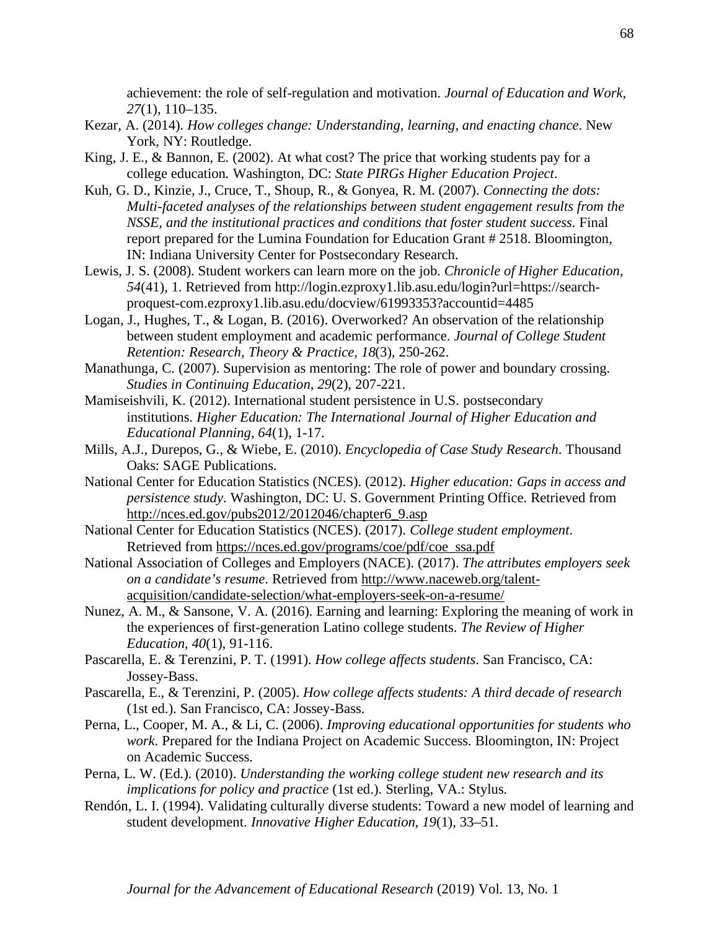achievement: the role of self-regulation and motivation. *Journal of Education and Work, 27*(1), 110–135.

- Kezar, A. (2014). *How colleges change: Understanding, learning, and enacting chance*. New York, NY: Routledge.
- King, J. E., & Bannon, E. (2002). At what cost? The price that working students pay for a college education*.* Washington, DC: *State PIRGs Higher Education Project*.
- Kuh, G. D., Kinzie, J., Cruce, T., Shoup, R., & Gonyea, R. M. (2007). *Connecting the dots: Multi-faceted analyses of the relationships between student engagement results from the NSSE, and the institutional practices and conditions that foster student success*. Final report prepared for the Lumina Foundation for Education Grant # 2518. Bloomington, IN: Indiana University Center for Postsecondary Research.
- Lewis, J. S. (2008). Student workers can learn more on the job. *Chronicle of Higher Education, 54*(41), 1. Retrieved from http://login.ezproxy1.lib.asu.edu/login?url=https://searchproquest-com.ezproxy1.lib.asu.edu/docview/61993353?accountid=4485
- Logan, J., Hughes, T., & Logan, B. (2016). Overworked? An observation of the relationship between student employment and academic performance. *Journal of College Student Retention: Research, Theory & Practice, 18*(3), 250-262.
- Manathunga, C. (2007). Supervision as mentoring: The role of power and boundary crossing. *Studies in Continuing Education*, *29*(2), 207-221.
- Mamiseishvili, K. (2012). International student persistence in U.S. postsecondary institutions. *Higher Education: The International Journal of Higher Education and Educational Planning, 64*(1), 1-17.
- Mills, A.J., Durepos, G., & Wiebe, E. (2010). *Encyclopedia of Case Study Research*. Thousand Oaks: SAGE Publications.
- National Center for Education Statistics (NCES). (2012). *Higher education: Gaps in access and persistence study*. Washington, DC: U. S. Government Printing Office. Retrieved from [http://nces.ed.gov/pubs2012/2012046/chapter6\\_9.asp](http://nces.ed.gov/pubs2012/2012046/chapter6_9.asp)
- National Center for Education Statistics (NCES). (2017). *College student employment*. Retrieved from [https://nces.ed.gov/programs/coe/pdf/coe\\_ssa.pdf](https://nces.ed.gov/programs/coe/pdf/coe_ssa.pdf)
- National Association of Colleges and Employers (NACE). (2017). *The attributes employers seek on a candidate's resume*. Retrieved from [http://www.naceweb.org/talent](http://www.naceweb.org/talent-acquisition/candidate-selection/what-employers-seek-on-a-resume/)[acquisition/candidate-selection/what-employers-seek-on-a-resume/](http://www.naceweb.org/talent-acquisition/candidate-selection/what-employers-seek-on-a-resume/)
- Nunez, A. M., & Sansone, V. A. (2016). Earning and learning: Exploring the meaning of work in the experiences of first-generation Latino college students. *The Review of Higher Education, 40*(1), 91-116.
- Pascarella, E. & Terenzini, P. T. (1991). *How college affects students*. San Francisco, CA: Jossey-Bass.
- Pascarella, E., & Terenzini, P. (2005). *How college affects students: A third decade of research*  (1st ed.). San Francisco, CA: Jossey-Bass.
- Perna, L., Cooper, M. A., & Li, C. (2006). *Improving educational opportunities for students who work*. Prepared for the Indiana Project on Academic Success. Bloomington, IN: Project on Academic Success.
- Perna, L. W. (Ed.). (2010). *Understanding the working college student new research and its implications for policy and practice* (1st ed.). Sterling, VA.: Stylus.
- Rendón, L. I. (1994). Validating culturally diverse students: Toward a new model of learning and student development. *Innovative Higher Education*, *19*(1), 33–51.